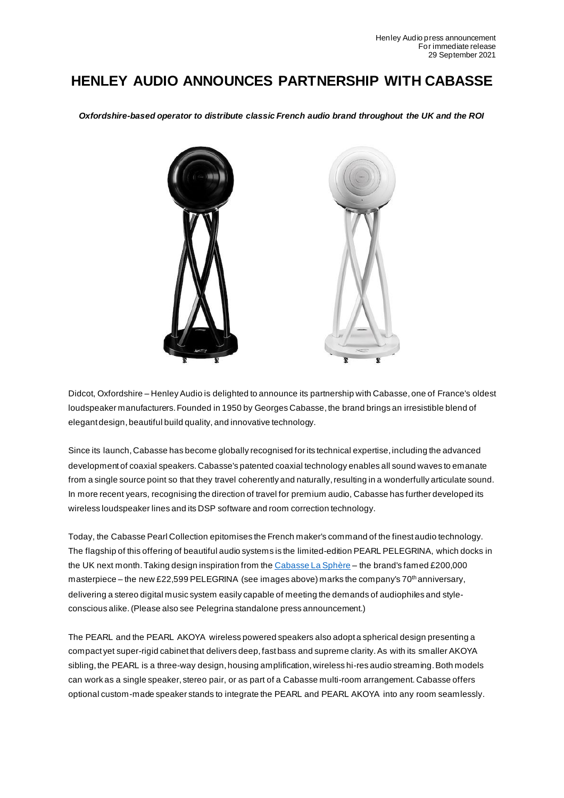## **HENLEY AUDIO ANNOUNCES PARTNERSHIP WITH CABASSE**

*Oxfordshire-based operator to distribute classic French audio brand throughout the UK and the ROI*



Didcot, Oxfordshire – Henley Audio is delighted to announce its partnership with Cabasse, one of France's oldest loudspeaker manufacturers. Founded in 1950 by Georges Cabasse, the brand brings an irresistible blend of elegant design, beautiful build quality, and innovative technology.

Since its launch,Cabasse has become globally recognised for its technical expertise, including the advanced development of coaxial speakers. Cabasse's patented coaxial technology enables all sound waves to emanate from a single source point so that they travel coherently and naturally, resulting in a wonderfully articulate sound. In more recent years, recognising the direction of travel for premium audio, Cabasse has further developed its wireless loudspeaker lines and its DSP software and room correction technology.

Today, the Cabasse Pearl Collection epitomises the French maker's command of the finest audio technology. The flagship of this offering of beautiful audio systems is the limited-edition PEARL PELEGRINA, which docks in the UK next month. Taking design inspiration from the Cabasse La Sphère - the brand's famed £200,000 masterpiece – the new £22,599 PELEGRINA (see images above) marks the company's 70<sup>th</sup> anniversary, delivering a stereo digital music system easily capable of meeting the demands of audiophiles and styleconscious alike. (Please also see Pelegrina standalone press announcement.)

The PEARL and the PEARL AKOYA wireless powered speakers also adopt a spherical design presenting a compact yet super-rigid cabinet that delivers deep, fast bass and supreme clarity. As with its smaller AKOYA sibling, the PEARL is a three-way design, housing amplification, wireless hi-res audio streaming. Both models can work as a single speaker, stereo pair, or as part of a Cabasse multi-room arrangement. Cabasse offers optional custom-made speaker stands to integrate the PEARL and PEARL AKOYA into any room seamlessly.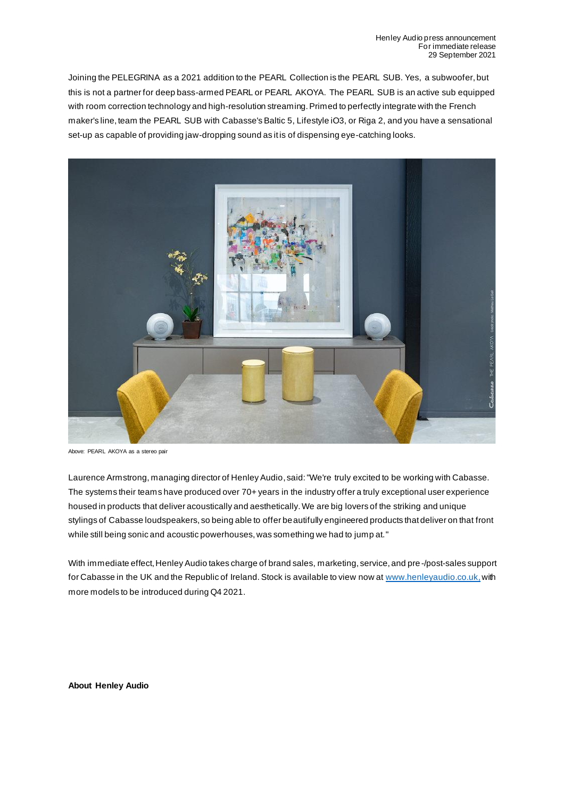Joining the PELEGRINA as a 2021 addition to the PEARL Collection is the PEARL SUB. Yes, a subwoofer, but this is not a partner for deep bass-armed PEARL or PEARL AKOYA. The PEARL SUB is an active sub equipped with room correction technology and high-resolution streaming. Primed to perfectly integrate with the French maker's line, team the PEARL SUB with Cabasse's Baltic 5, Lifestyle iO3, or Riga 2, and you have a sensational set-up as capable of providing jaw-dropping sound as it is of dispensing eye-catching looks.



Above: PEARL AKOYA as a stereo pair

Laurence Armstrong, managing director of Henley Audio, said: "We're truly excited to be working with Cabasse. The systems their teams have produced over 70+ years in the industry offer a truly exceptional user experience housed in products that deliver acoustically and aesthetically. We are big lovers of the striking and unique stylings of Cabasse loudspeakers, so being able to offer beautifully engineered products that deliver on that front while still being sonic and acoustic powerhouses, was something we had to jump at."

With immediate effect, Henley Audio takes charge of brand sales, marketing, service, and pre-/post-sales support for Cabasse in the UK and the Republic of Ireland. Stock is available to view now at www.henleyaudio.co.uk, with more models to be introduced during Q4 2021.

**About Henley Audio**